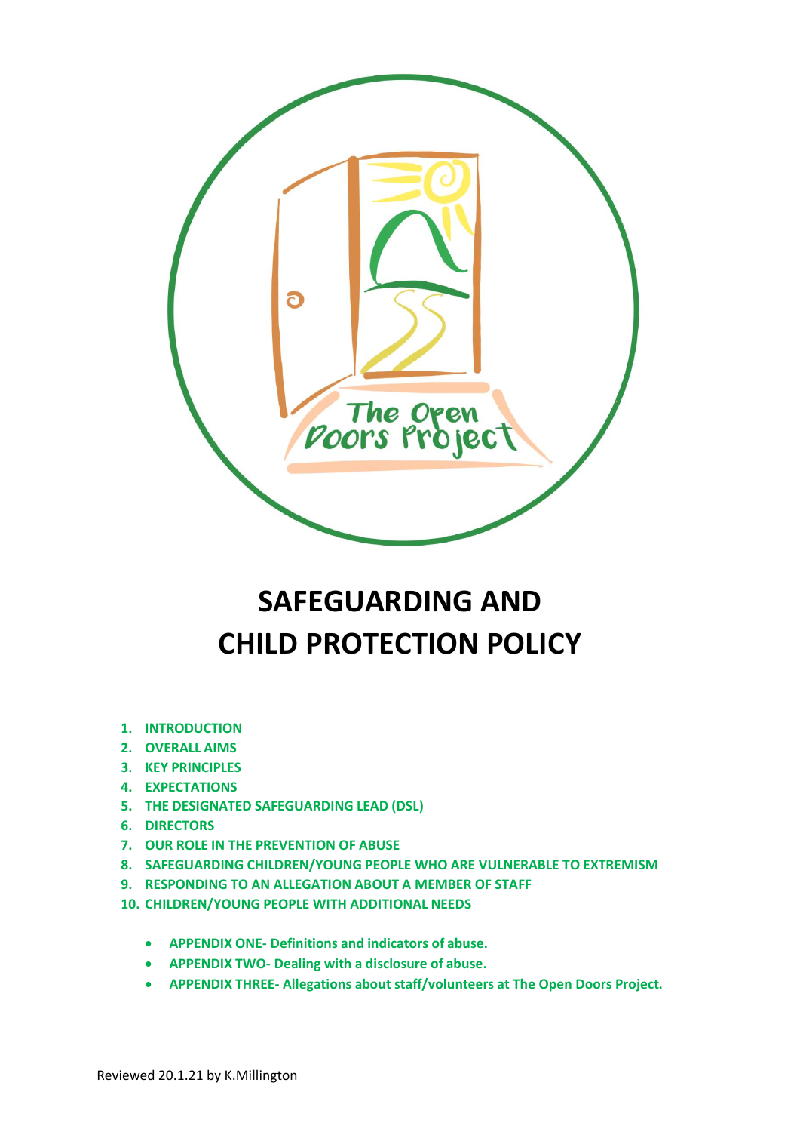

# **SAFEGUARDING AND CHILD PROTECTION POLICY**

- **1. INTRODUCTION**
- **2. OVERALL AIMS**
- **3. KEY PRINCIPLES**
- **4. EXPECTATIONS**
- **5. THE DESIGNATED SAFEGUARDING LEAD (DSL)**
- **6. DIRECTORS**
- **7. OUR ROLE IN THE PREVENTION OF ABUSE**
- **8. SAFEGUARDING CHILDREN/YOUNG PEOPLE WHO ARE VULNERABLE TO EXTREMISM**
- **9. RESPONDING TO AN ALLEGATION ABOUT A MEMBER OF STAFF**
- **10. CHILDREN/YOUNG PEOPLE WITH ADDITIONAL NEEDS**
	- **APPENDIX ONE- Definitions and indicators of abuse.**
	- **APPENDIX TWO- Dealing with a disclosure of abuse.**
	- **APPENDIX THREE- Allegations about staff/volunteers at The Open Doors Project.**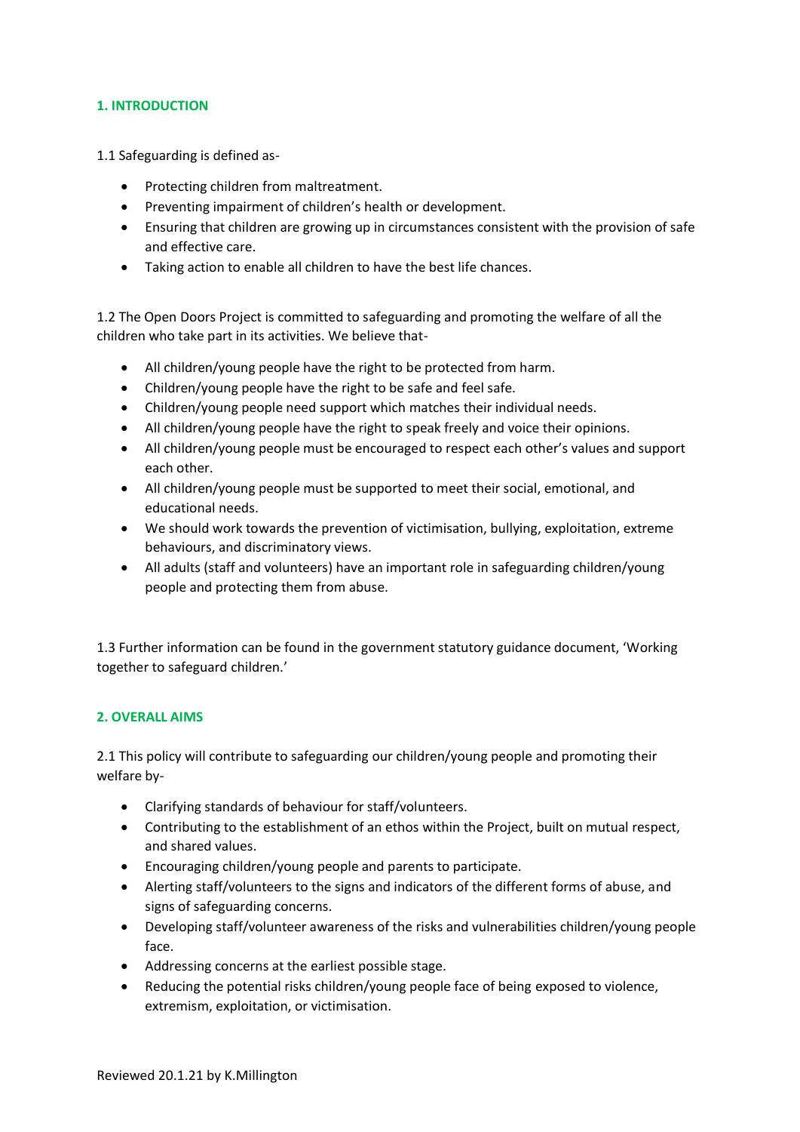## **1. INTRODUCTION**

1.1 Safeguarding is defined as-

- Protecting children from maltreatment.
- Preventing impairment of children's health or development.
- Ensuring that children are growing up in circumstances consistent with the provision of safe and effective care.
- Taking action to enable all children to have the best life chances.

1.2 The Open Doors Project is committed to safeguarding and promoting the welfare of all the children who take part in its activities. We believe that-

- All children/young people have the right to be protected from harm.
- Children/young people have the right to be safe and feel safe.
- Children/young people need support which matches their individual needs.
- All children/young people have the right to speak freely and voice their opinions.
- All children/young people must be encouraged to respect each other's values and support each other.
- All children/young people must be supported to meet their social, emotional, and educational needs.
- We should work towards the prevention of victimisation, bullying, exploitation, extreme behaviours, and discriminatory views.
- All adults (staff and volunteers) have an important role in safeguarding children/young people and protecting them from abuse.

1.3 Further information can be found in the government statutory guidance document, 'Working together to safeguard children.'

## **2. OVERALL AIMS**

2.1 This policy will contribute to safeguarding our children/young people and promoting their welfare by-

- Clarifying standards of behaviour for staff/volunteers.
- Contributing to the establishment of an ethos within the Project, built on mutual respect, and shared values.
- Encouraging children/young people and parents to participate.
- Alerting staff/volunteers to the signs and indicators of the different forms of abuse, and signs of safeguarding concerns.
- Developing staff/volunteer awareness of the risks and vulnerabilities children/young people face.
- Addressing concerns at the earliest possible stage.
- Reducing the potential risks children/young people face of being exposed to violence, extremism, exploitation, or victimisation.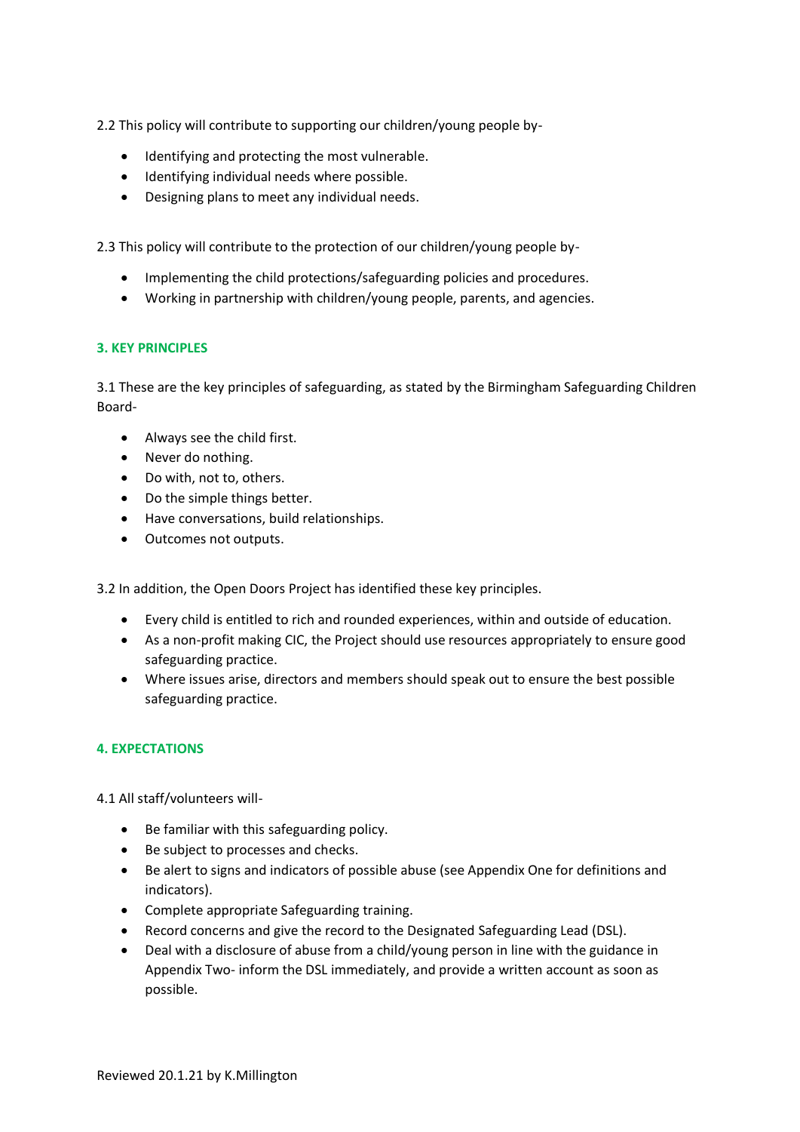2.2 This policy will contribute to supporting our children/young people by-

- Identifying and protecting the most vulnerable.
- Identifying individual needs where possible.
- Designing plans to meet any individual needs.

2.3 This policy will contribute to the protection of our children/young people by-

- Implementing the child protections/safeguarding policies and procedures.
- Working in partnership with children/young people, parents, and agencies.

#### **3. KEY PRINCIPLES**

3.1 These are the key principles of safeguarding, as stated by the Birmingham Safeguarding Children Board-

- Always see the child first.
- Never do nothing.
- Do with, not to, others.
- Do the simple things better.
- Have conversations, build relationships.
- Outcomes not outputs.

3.2 In addition, the Open Doors Project has identified these key principles.

- Every child is entitled to rich and rounded experiences, within and outside of education.
- As a non-profit making CIC, the Project should use resources appropriately to ensure good safeguarding practice.
- Where issues arise, directors and members should speak out to ensure the best possible safeguarding practice.

#### **4. EXPECTATIONS**

4.1 All staff/volunteers will-

- Be familiar with this safeguarding policy.
- Be subject to processes and checks.
- Be alert to signs and indicators of possible abuse (see Appendix One for definitions and indicators).
- Complete appropriate Safeguarding training.
- Record concerns and give the record to the Designated Safeguarding Lead (DSL).
- Deal with a disclosure of abuse from a child/young person in line with the guidance in Appendix Two- inform the DSL immediately, and provide a written account as soon as possible.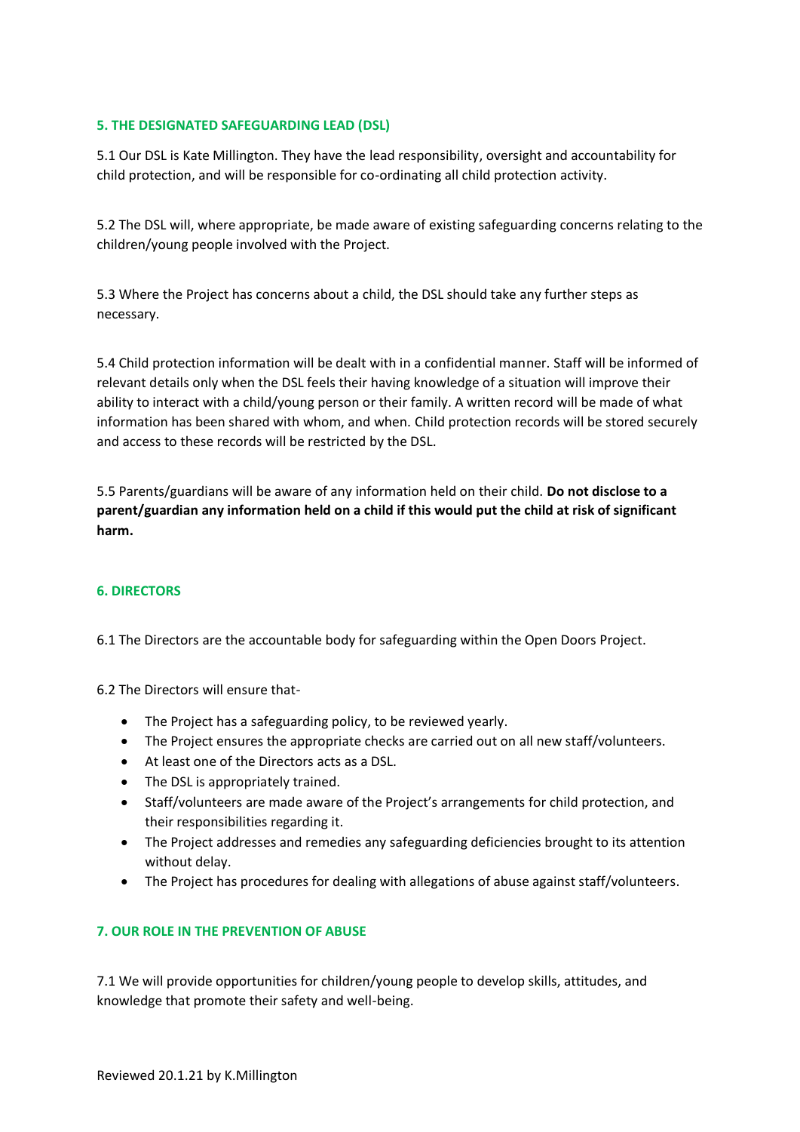## **5. THE DESIGNATED SAFEGUARDING LEAD (DSL)**

5.1 Our DSL is Kate Millington. They have the lead responsibility, oversight and accountability for child protection, and will be responsible for co-ordinating all child protection activity.

5.2 The DSL will, where appropriate, be made aware of existing safeguarding concerns relating to the children/young people involved with the Project.

5.3 Where the Project has concerns about a child, the DSL should take any further steps as necessary.

5.4 Child protection information will be dealt with in a confidential manner. Staff will be informed of relevant details only when the DSL feels their having knowledge of a situation will improve their ability to interact with a child/young person or their family. A written record will be made of what information has been shared with whom, and when. Child protection records will be stored securely and access to these records will be restricted by the DSL.

5.5 Parents/guardians will be aware of any information held on their child. **Do not disclose to a parent/guardian any information held on a child if this would put the child at risk of significant harm.**

#### **6. DIRECTORS**

6.1 The Directors are the accountable body for safeguarding within the Open Doors Project.

6.2 The Directors will ensure that-

- The Project has a safeguarding policy, to be reviewed yearly.
- The Project ensures the appropriate checks are carried out on all new staff/volunteers.
- At least one of the Directors acts as a DSL.
- The DSL is appropriately trained.
- Staff/volunteers are made aware of the Project's arrangements for child protection, and their responsibilities regarding it.
- The Project addresses and remedies any safeguarding deficiencies brought to its attention without delay.
- The Project has procedures for dealing with allegations of abuse against staff/volunteers.

#### **7. OUR ROLE IN THE PREVENTION OF ABUSE**

7.1 We will provide opportunities for children/young people to develop skills, attitudes, and knowledge that promote their safety and well-being.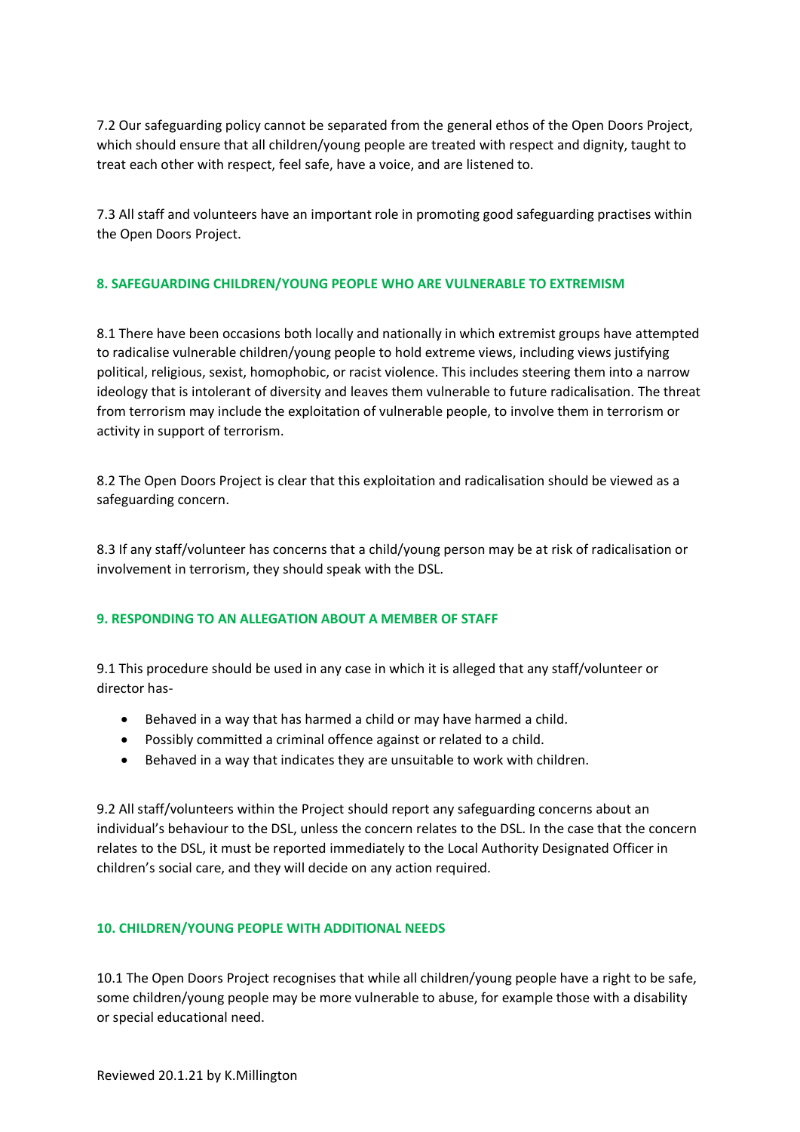7.2 Our safeguarding policy cannot be separated from the general ethos of the Open Doors Project, which should ensure that all children/young people are treated with respect and dignity, taught to treat each other with respect, feel safe, have a voice, and are listened to.

7.3 All staff and volunteers have an important role in promoting good safeguarding practises within the Open Doors Project.

## **8. SAFEGUARDING CHILDREN/YOUNG PEOPLE WHO ARE VULNERABLE TO EXTREMISM**

8.1 There have been occasions both locally and nationally in which extremist groups have attempted to radicalise vulnerable children/young people to hold extreme views, including views justifying political, religious, sexist, homophobic, or racist violence. This includes steering them into a narrow ideology that is intolerant of diversity and leaves them vulnerable to future radicalisation. The threat from terrorism may include the exploitation of vulnerable people, to involve them in terrorism or activity in support of terrorism.

8.2 The Open Doors Project is clear that this exploitation and radicalisation should be viewed as a safeguarding concern.

8.3 If any staff/volunteer has concerns that a child/young person may be at risk of radicalisation or involvement in terrorism, they should speak with the DSL.

#### **9. RESPONDING TO AN ALLEGATION ABOUT A MEMBER OF STAFF**

9.1 This procedure should be used in any case in which it is alleged that any staff/volunteer or director has-

- Behaved in a way that has harmed a child or may have harmed a child.
- Possibly committed a criminal offence against or related to a child.
- Behaved in a way that indicates they are unsuitable to work with children.

9.2 All staff/volunteers within the Project should report any safeguarding concerns about an individual's behaviour to the DSL, unless the concern relates to the DSL. In the case that the concern relates to the DSL, it must be reported immediately to the Local Authority Designated Officer in children's social care, and they will decide on any action required.

#### **10. CHILDREN/YOUNG PEOPLE WITH ADDITIONAL NEEDS**

10.1 The Open Doors Project recognises that while all children/young people have a right to be safe, some children/young people may be more vulnerable to abuse, for example those with a disability or special educational need.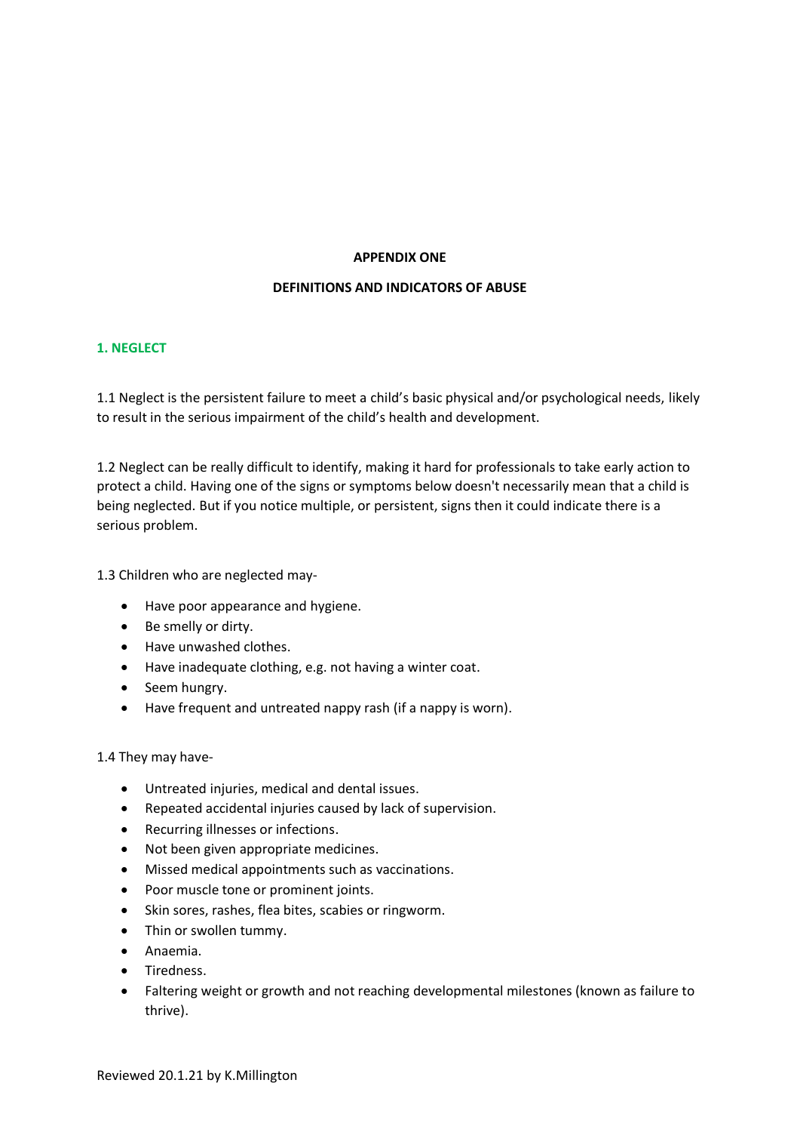#### **APPENDIX ONE**

#### **DEFINITIONS AND INDICATORS OF ABUSE**

#### **1. NEGLECT**

1.1 Neglect is the persistent failure to meet a child's basic physical and/or psychological needs, likely to result in the serious impairment of the child's health and development.

1.2 Neglect can be really difficult to identify, making it hard for professionals to take early action to protect a child. Having one of the signs or symptoms below doesn't necessarily mean that a child is being neglected. But if you notice multiple, or persistent, signs then it could indicate there is a serious problem.

1.3 Children who are neglected may-

- [Have poor appearance and hygiene.](https://www.nspcc.org.uk/preventing-abuse/child-abuse-and-neglect/neglect/signs-symptoms-effects-neglect/)
- Be smelly or dirty.
- Have unwashed clothes.
- Have inadequate clothing, e.g. not having a winter coat.
- Seem hungry.
- Have frequent and untreated nappy rash (if a nappy is worn).

#### 1.4 They may have-

- Untreated injuries, medical and [dental issues.](https://www.nhs.uk/conditions/Dental-decay/Pages/Introduction.aspx)
- Repeated accidental injuries caused by lack of supervision.
- Recurring illnesses or infections.
- Not been given appropriate medicines.
- Missed medical appointments such as [vaccinations.](https://www.nhs.uk/conditions/vaccinations/Pages/vaccination-schedule-age-checklist.aspx)
- Poor muscle tone or prominent joints.
- Skin sores, rashes, flea bites, [scabies](https://www.nhs.uk/conditions/Scabies/Pages/Introduction.aspx) or [ringworm.](https://www.nhs.uk/conditions/Ringworm/Pages/Introduction.aspx)
- Thin or swollen tummy.
- [Anaemia.](https://www.nhs.uk/conditions/Anaemia-iron-deficiency-/Pages/Introduction.aspx)
- Tiredness.
- Faltering weight or growth and not reaching developmental milestones (known as failure to thrive).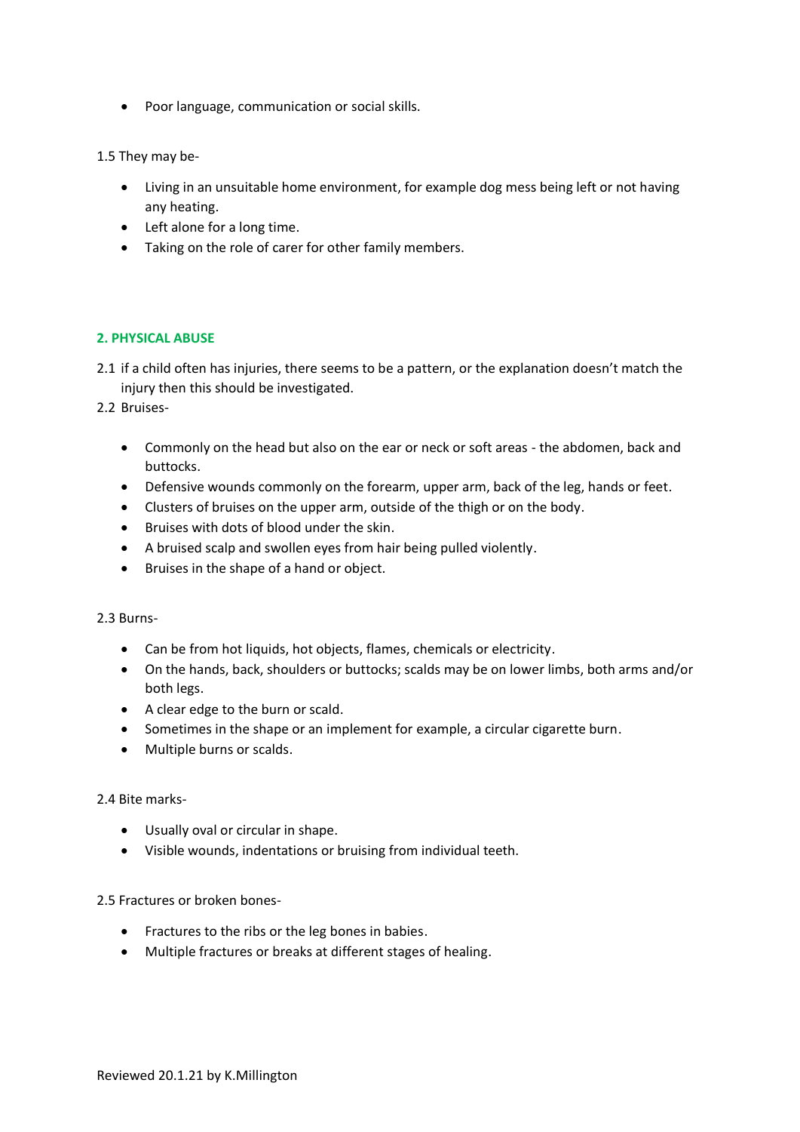• Poor language, communication or social skills.

1.5 They may be-

- Living in an unsuitable home environment, for example dog mess being left or not having any heating.
- Left alone for a long time.
- Taking on the role of carer for other family members.

## **2. PHYSICAL ABUSE**

2.1 if a child often has injuries, there seems to be a pattern, or the explanation doesn't match the injury then this should be investigated[.](https://www.nspcc.org.uk/preventing-abuse/child-abuse-and-neglect/physical-abuse/signs-symptoms-effects/)

2.2 [Bruises-](https://www.nspcc.org.uk/preventing-abuse/child-abuse-and-neglect/physical-abuse/signs-symptoms-effects/)

- Commonly on the head but also on the ear or neck or soft areas the abdomen, back and buttocks.
- Defensive wounds commonly on the forearm, upper arm, back of the leg, hands or feet.
- Clusters of bruises on the upper arm, outside of the thigh or on the body.
- Bruises with dots of blood under the skin.
- A bruised scalp and swollen eyes from hair being pulled violently.
- Bruises in the shape of a hand or object.

2.3 Burns-

- Can be from hot liquids, hot objects, flames, chemicals or electricity.
- On the hands, back, shoulders or buttocks; scalds may be on lower limbs, both arms and/or both legs.
- A clear edge to the burn or scald.
- Sometimes in the shape or an implement for example, a circular cigarette burn.
- Multiple burns or scalds.

#### 2.4 Bite marks-

- Usually oval or circular in shape.
- Visible wounds, indentations or bruising from individual teeth.

2.5 Fractures or broken bones-

- Fractures to the ribs or the leg bones in babies.
- Multiple fractures or breaks at different stages of healing.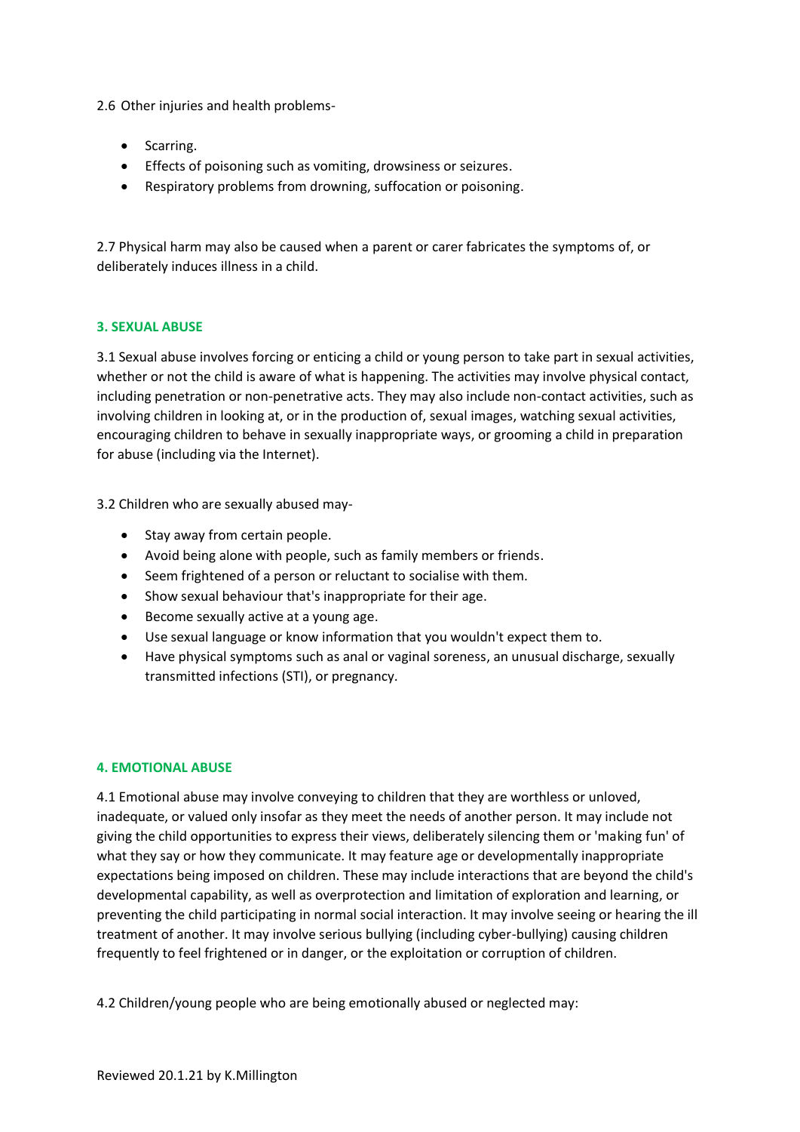2.6 [Other injuries and health problems-](https://www.nspcc.org.uk/preventing-abuse/child-abuse-and-neglect/physical-abuse/signs-symptoms-effects/)

- Scarring.
- Effects of poisoning such as vomiting, drowsiness or seizures.
- Respiratory problems from drowning, suffocation or poisoning.

2.7 Physical harm may also be caused when a parent or carer fabricates the symptoms of, or deliberately induces illness in a child.

## **3. SEXUAL ABUSE**

3.1 Sexual abuse involves forcing or enticing a child or young person to take part in sexual activities, whether or not the child is aware of what is happening. The activities may involve physical contact, including penetration or non-penetrative acts. They may also include non-contact activities, such as involving children in looking at, or in the production of, sexual images, watching sexual activities, encouraging children to behave in sexually inappropriate ways, or grooming a child in preparation for abuse (including via the Internet).

3.2 Children who are sexually abused may-

- Stay away from certain people.
- Avoid being alone with people, such as family members or friends.
- Seem frightened of a person or reluctant to socialise with them.
- Show sexual behaviour that's inappropriate for their age.
- Become sexually active at a young age.
- Use sexual language or know information that [you wouldn't expect them to.](https://www.nspcc.org.uk/preventing-abuse/keeping-children-safe/healthy-sexual-behaviour-children-young-people/)
- Have physical symptoms such as anal or vaginal soreness, an unusual discharge, sexually transmitted infections (STI), or pregnancy.

#### **4. EMOTIONAL ABUSE**

4.1 Emotional abuse may involve conveying to children that they are worthless or unloved, inadequate, or valued only insofar as they meet the needs of another person. It may include not giving the child opportunities to express their views, deliberately silencing them or 'making fun' of what they say or how they communicate. It may feature age or developmentally inappropriate expectations being imposed on children. These may include interactions that are beyond the child's developmental capability, as well as overprotection and limitation of exploration and learning, or preventing the child participating in normal social interaction. It may involve seeing or hearing the ill treatment of another. It may involve serious bullying (including cyber-bullying) causing children frequently to feel frightened or in danger, or the exploitation or corruption of children.

4.2 Children/young people who are being emotionally abused or neglected may: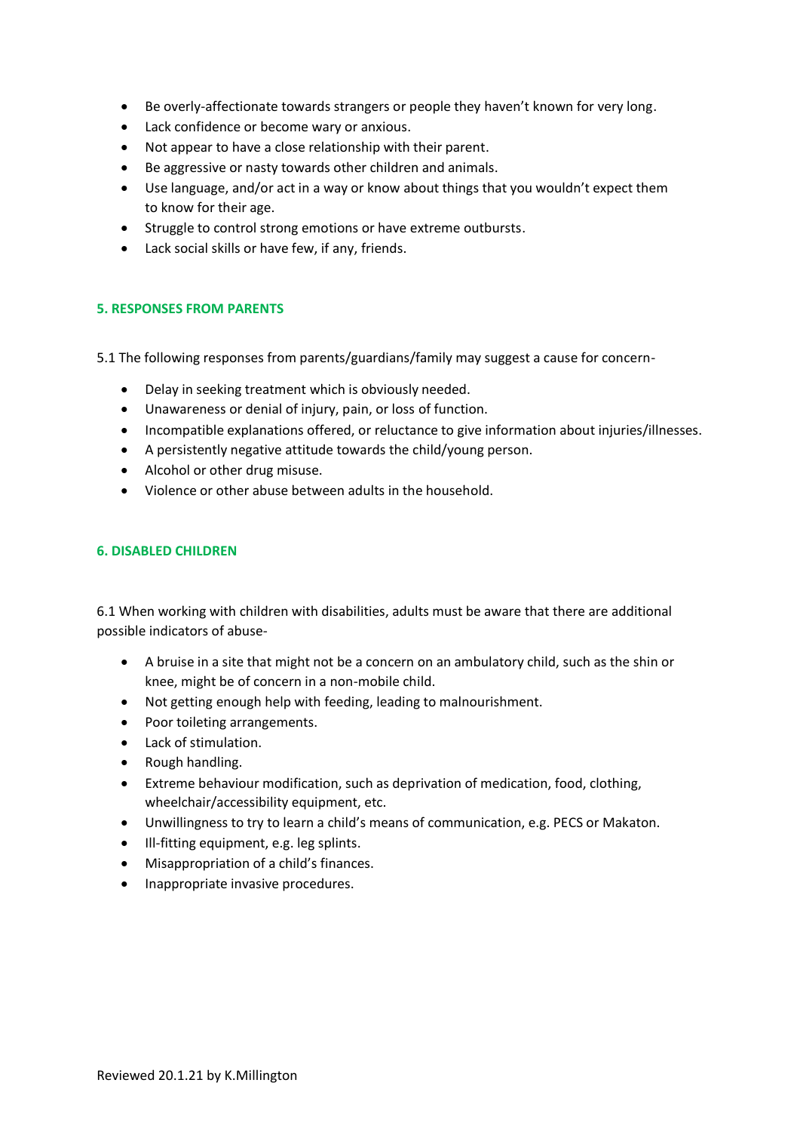- Be overly-affectionate towards strangers or people they haven't known for very long.
- Lack confidence or become wary or anxious.
- Not appear to have a close relationship with their parent.
- Be aggressive or nasty towards other children and animals.
- Use language, and/or act in a way or know about things that you wouldn't expect them to [know for their age.](https://www.nspcc.org.uk/preventing-abuse/keeping-children-safe/healthy-sexual-behaviour-children-young-people/)
- Struggle to control strong emotions or have extreme outbursts.
- Lack social skills or have few, if any, friends.

#### **5. RESPONSES FROM PARENTS**

5.1 The following responses from parents/guardians/family may suggest a cause for concern-

- Delay in seeking treatment which is obviously needed.
- Unawareness or denial of injury, pain, or loss of function.
- Incompatible explanations offered, or reluctance to give information about injuries/illnesses.
- A persistently negative attitude towards the child/young person.
- Alcohol or other drug misuse.
- Violence or other abuse between adults in the household.

#### **6. DISABLED CHILDREN**

6.1 When working with children with disabilities, adults must be aware that there are additional possible indicators of abuse-

- A bruise in a site that might not be a concern on an ambulatory child, such as the shin or knee, might be of concern in a non-mobile child.
- Not getting enough help with feeding, leading to malnourishment.
- Poor toileting arrangements.
- Lack of stimulation.
- Rough handling.
- Extreme behaviour modification, such as deprivation of medication, food, clothing, wheelchair/accessibility equipment, etc.
- Unwillingness to try to learn a child's means of communication, e.g. PECS or Makaton.
- Ill-fitting equipment, e.g. leg splints.
- Misappropriation of a child's finances.
- Inappropriate invasive procedures.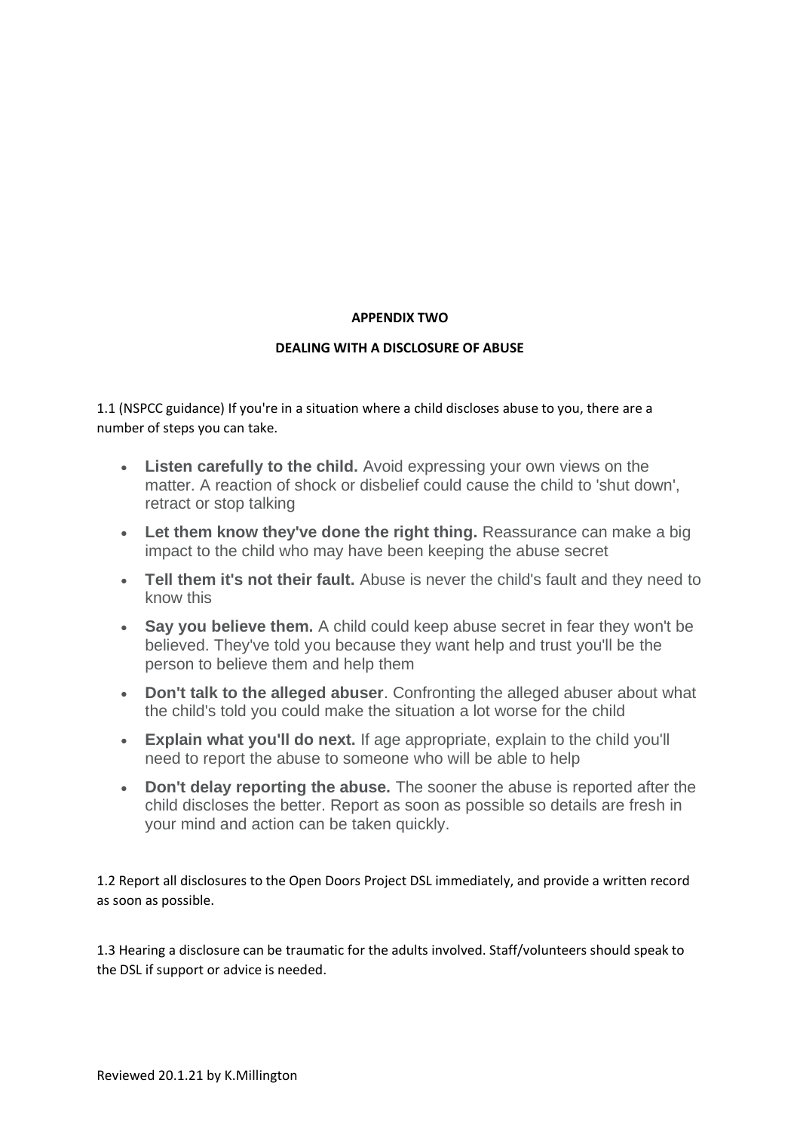## **APPENDIX TWO**

## **DEALING WITH A DISCLOSURE OF ABUSE**

1.1 (NSPCC guidance) If you're in a situation where a child discloses abuse to you, there are a number of steps you can take.

- **Listen carefully to the child.** Avoid expressing your own views on the matter. A reaction of shock or disbelief could cause the child to 'shut down', retract or stop talking
- **Let them know they've done the right thing.** Reassurance can make a big impact to the child who may have been keeping the abuse secret
- **Tell them it's not their fault.** Abuse is never the child's fault and they need to know this
- **Say you believe them.** A child could keep abuse secret in fear they won't be believed. They've told you because they want help and trust you'll be the person to believe them and help them
- **Don't talk to the alleged abuser**. Confronting the alleged abuser about what the child's told you could make the situation a lot worse for the child
- **Explain what you'll do next.** If age appropriate, explain to the child you'll need to report the abuse to someone who will be able to help
- **Don't delay reporting the abuse.** The sooner the abuse is reported after the child discloses the better. Report as soon as possible so details are fresh in your mind and action can be taken quickly.

1.2 Report all disclosures to the Open Doors Project DSL immediately, and provide a written record as soon as possible.

1.3 Hearing a disclosure can be traumatic for the adults involved. Staff/volunteers should speak to the DSL if support or advice is needed.